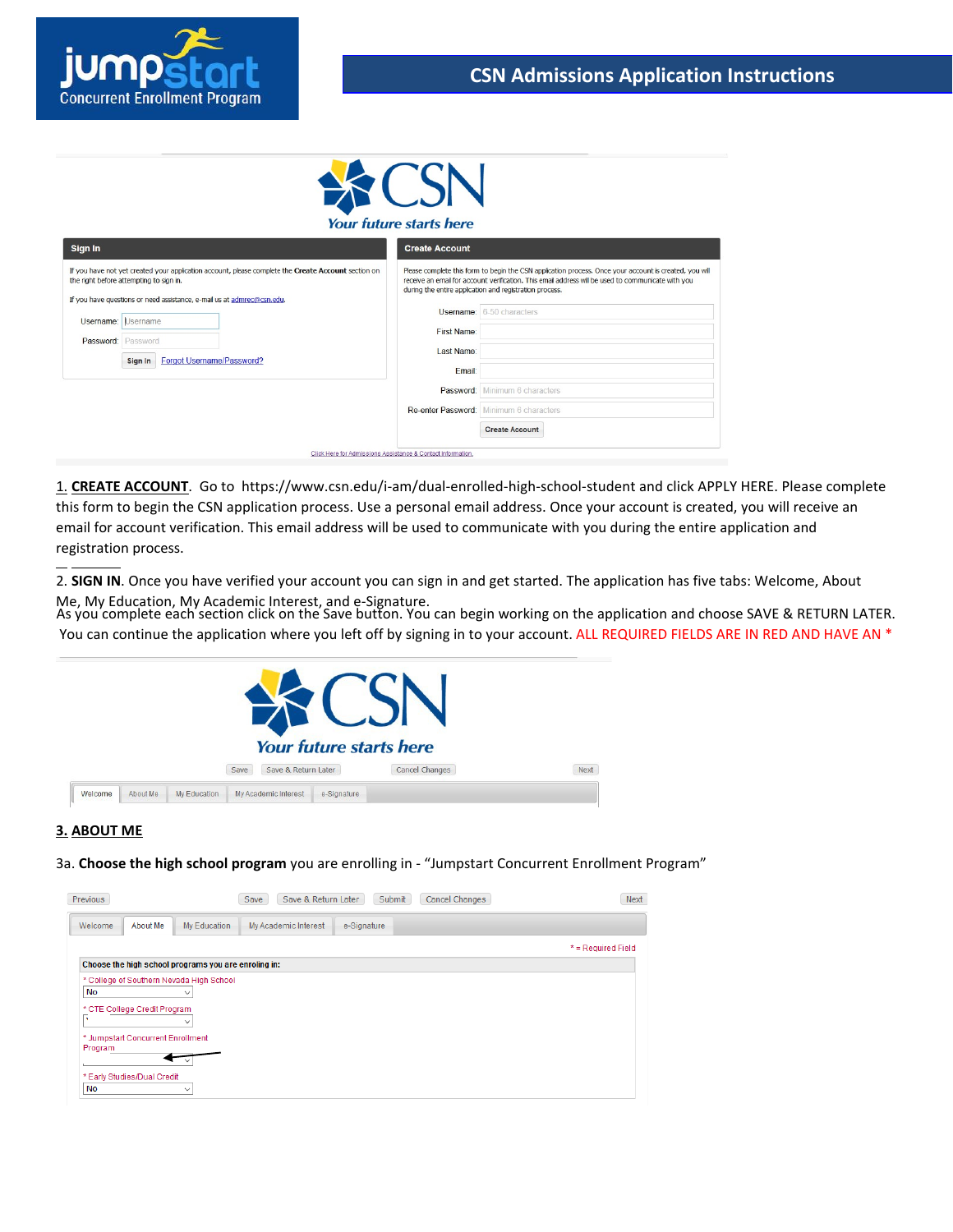

# **Your future starts here**

| Sign In                                                                                                                                                                                                                  | <b>Create Account</b><br>Please complete this form to begin the CSN application process. Once your account is created, you will<br>receive an email for account verification. This email address will be used to communicate with you<br>during the entire application and registration process. |  |  |
|--------------------------------------------------------------------------------------------------------------------------------------------------------------------------------------------------------------------------|--------------------------------------------------------------------------------------------------------------------------------------------------------------------------------------------------------------------------------------------------------------------------------------------------|--|--|
| If you have not yet created your application account, please complete the Create Account section on<br>the right before attempting to sign in.<br>If you have questions or need assistance, e-mail us at admrec@csn.edu. |                                                                                                                                                                                                                                                                                                  |  |  |
| Username: Username<br>Password: Password<br>Forgot Username/Password?<br>Sign In                                                                                                                                         | <b>Username:</b> 6-50 characters<br>First Name:<br>Last Name:<br>Email:                                                                                                                                                                                                                          |  |  |
|                                                                                                                                                                                                                          | Password: Minimum 6 characters<br>Re-enter Password: Minimum 6 characters                                                                                                                                                                                                                        |  |  |
|                                                                                                                                                                                                                          | <b>Create Account</b>                                                                                                                                                                                                                                                                            |  |  |

1. **CREATE ACCOUNT**. Go to https://www.csn.edu/i-am/dual-enrolled-high-school-student and click APPLY HERE. Please complete this form to begin the CSN application process. Use a personal email address. Once your account is created, you will receive an email for account verification. This email address will be used to communicate with you during the entire application and registration process.

2. **SIGN IN**. Once you have verified your account you can sign in and get started. The application has five tabs: Welcome, About Me, My Education, My Academic Interest, and e-Signature.

As you complete each section click on the Save button. You can begin working on the application and choose SAVE & RETURN LATER. You can continue the application where you left off by signing in to your account. ALL REQUIRED FIELDS ARE IN RED AND HAVE AN \*



# **3. ABOUT ME**

3a. **Choose the high school program** you are enrolling in - "Jumpstart Concurrent Enrollment Program"

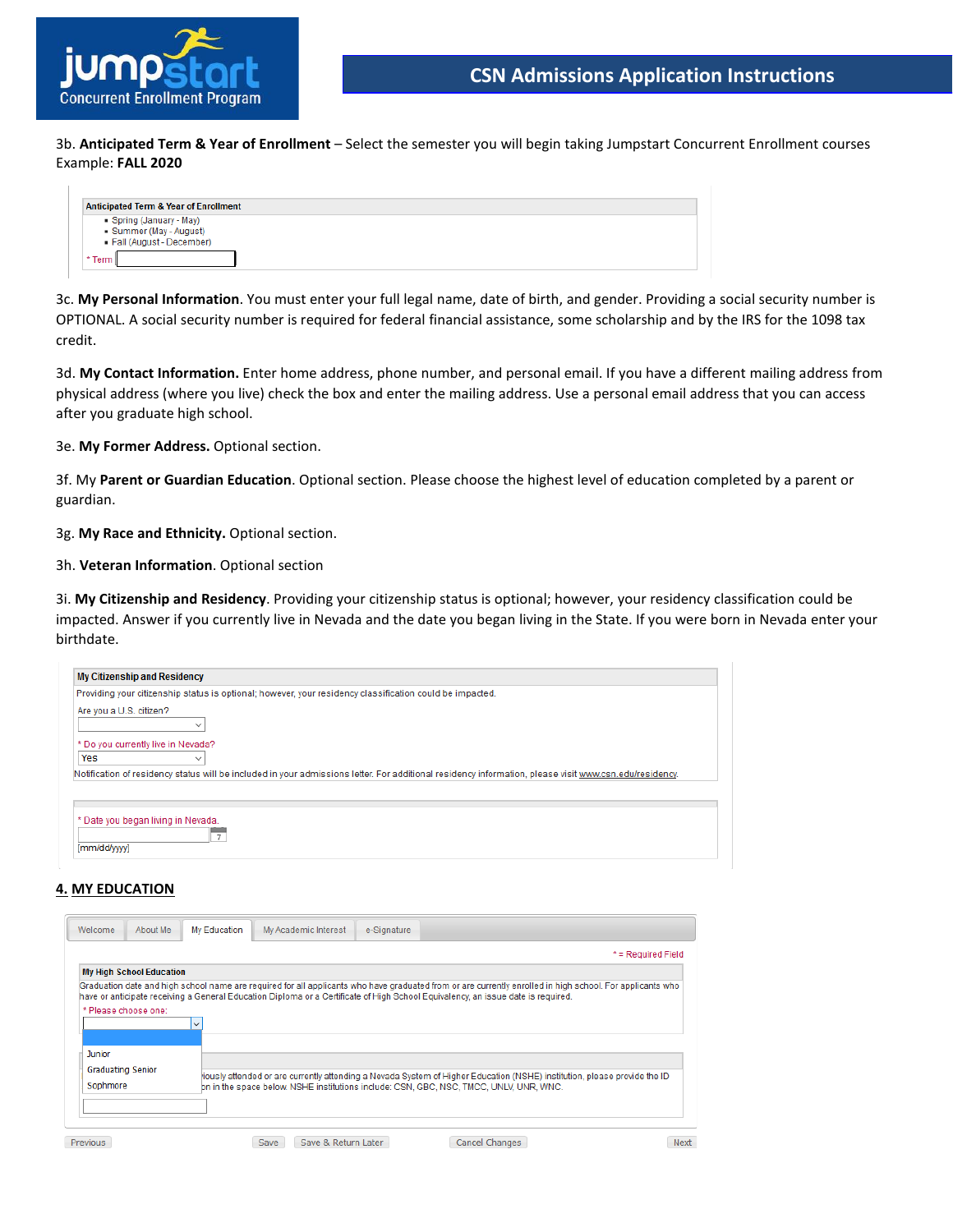

3b. **Anticipated Term & Year of Enrollment** – Select the semester you will begin taking Jumpstart Concurrent Enrollment courses Example: **FALL 2020**

| <b>Anticipated Term &amp; Year of Enrollment</b>                            |  |
|-----------------------------------------------------------------------------|--|
| Spring (January - May)<br>Summer (May - August)<br>Fall (August - December) |  |
| * Term                                                                      |  |

3c. **My Personal Information**. You must enter your full legal name, date of birth, and gender. Providing a social security number is OPTIONAL. A social security number is required for federal financial assistance, some scholarship and by the IRS for the 1098 tax credit.

3d. **My Contact Information.** Enter home address, phone number, and personal email. If you have a different mailing address from physical address (where you live) check the box and enter the mailing address. Use a personal email address that you can access after you graduate high school.

3e. **My Former Address.** Optional section.

3f. My **Parent or Guardian Education**. Optional section. Please choose the highest level of education completed by a parent or guardian.

3g. **My Race and Ethnicity.** Optional section.

3h. **Veteran Information**. Optional section

3i. **My Citizenship and Residency**. Providing your citizenship status is optional; however, your residency classification could be impacted. Answer if you currently live in Nevada and the date you began living in the State. If you were born in Nevada enter your birthdate.

| <b>My Citizenship and Residency</b>                      |                                                                                                                                                        |
|----------------------------------------------------------|--------------------------------------------------------------------------------------------------------------------------------------------------------|
|                                                          | Providing your citizenship status is optional; however, your residency classification could be impacted.                                               |
| Are you a U.S. citizen?<br>$\checkmark$                  |                                                                                                                                                        |
| * Do you currently live in Nevada?<br>Yes<br>$\check{ }$ |                                                                                                                                                        |
|                                                          | Notification of residency status will be included in your admissions letter. For additional residency information, please visit www.csn.edu/residency. |
| * Date you began living in Nevada.<br>[mm/dd/yyyy]       |                                                                                                                                                        |

## **4. MY EDUCATION**

| About Me<br>Welcome             | My Education | My Academic Interest        | e-Signature |                                                                                                                                                                                                                                                                                               |                      |
|---------------------------------|--------------|-----------------------------|-------------|-----------------------------------------------------------------------------------------------------------------------------------------------------------------------------------------------------------------------------------------------------------------------------------------------|----------------------|
|                                 |              |                             |             |                                                                                                                                                                                                                                                                                               | $*$ = Required Field |
| <b>My High School Education</b> |              |                             |             |                                                                                                                                                                                                                                                                                               |                      |
|                                 |              |                             |             | Graduation date and high school name are required for all applicants who have graduated from or are currently enrolled in high school. For applicants who<br>have or anticipate receiving a General Education Diploma or a Certificate of High School Equivalency, an issue date is required. |                      |
| * Please choose one:            |              |                             |             |                                                                                                                                                                                                                                                                                               |                      |
|                                 |              |                             |             |                                                                                                                                                                                                                                                                                               |                      |
| Junior                          |              |                             |             |                                                                                                                                                                                                                                                                                               |                      |
| Graduating Senior<br>Sophmore   |              |                             |             | iously attended or are currently attending a Nevada System of Higher Education (NSHE) institution, please provide the ID<br>bn in the space below. NSHE institutions include: CSN, GBC, NSC, TMCC, UNLV, UNR, WNC.                                                                            |                      |
|                                 |              |                             |             |                                                                                                                                                                                                                                                                                               |                      |
| Previous                        |              | Save & Return Later<br>Save |             | Cancel Changes                                                                                                                                                                                                                                                                                | Next                 |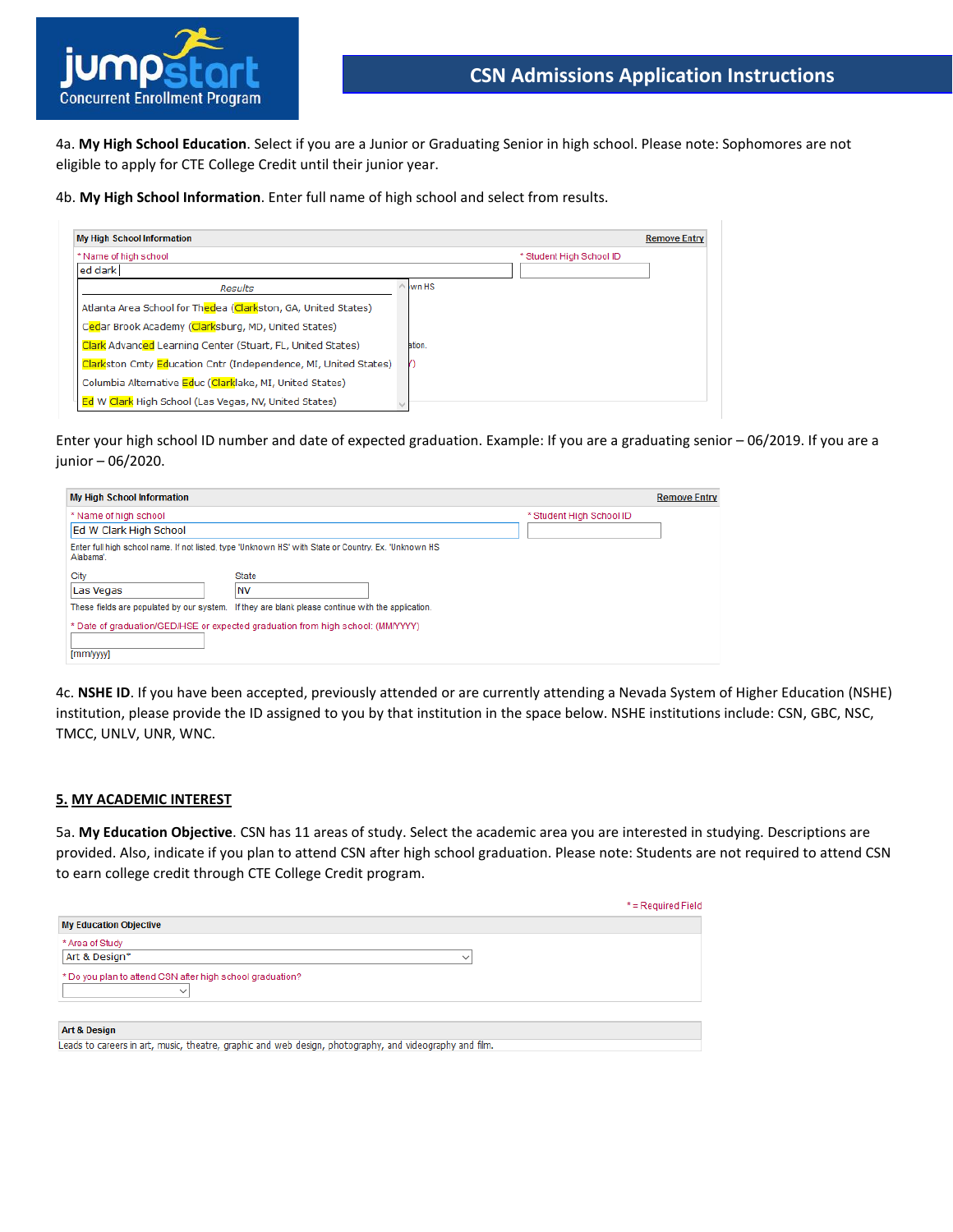

4a. **My High School Education**. Select if you are a Junior or Graduating Senior in high school. Please note: Sophomores are not eligible to apply for CTE College Credit until their junior year.

4b. **My High School Information**. Enter full name of high school and select from results.

| <b>My High School Information</b>                               |                          |  | <b>Remove Entry</b> |
|-----------------------------------------------------------------|--------------------------|--|---------------------|
| * Name of high school                                           | * Student High School ID |  |                     |
| ed clark                                                        |                          |  |                     |
| <b>Results</b>                                                  | wn HS                    |  |                     |
| Atlanta Area School for Thedea (Clarkston, GA, United States)   |                          |  |                     |
| Cedar Brook Academy (Clarksburg, MD, United States)             |                          |  |                     |
| Clark Advanced Learning Center (Stuart, FL, United States)      | ation.                   |  |                     |
| Clarkston Cmty Education Cntr (Independence, MI, United States) |                          |  |                     |
| Columbia Alternative Educ (Clarklake, MI, United States)        |                          |  |                     |
| Ed W Clark High School (Las Vegas, NV, United States)           |                          |  |                     |

Enter your high school ID number and date of expected graduation. Example: If you are a graduating senior – 06/2019. If you are a junior – 06/2020.

| <b>My High School Information</b>                                                                                 |                                                                                                   |                          | <b>Remove Entry</b> |  |  |
|-------------------------------------------------------------------------------------------------------------------|---------------------------------------------------------------------------------------------------|--------------------------|---------------------|--|--|
| * Name of high school                                                                                             |                                                                                                   | * Student High School ID |                     |  |  |
| Ed W Clark High School                                                                                            |                                                                                                   |                          |                     |  |  |
| Enter full high school name. If not listed, type 'Unknown HS' with State or Country. Ex. 'Unknown HS<br>Alabama'. |                                                                                                   |                          |                     |  |  |
| City                                                                                                              | <b>State</b>                                                                                      |                          |                     |  |  |
| Las Vegas                                                                                                         | <b>NV</b>                                                                                         |                          |                     |  |  |
|                                                                                                                   | These fields are populated by our system. If they are blank please continue with the application. |                          |                     |  |  |
| * Date of graduation/GED/HSE or expected graduation from high school: (MM/YYYY)<br>[mm/yyyy]                      |                                                                                                   |                          |                     |  |  |

4c. **NSHE ID**. If you have been accepted, previously attended or are currently attending a Nevada System of Higher Education (NSHE) institution, please provide the ID assigned to you by that institution in the space below. NSHE institutions include: CSN, GBC, NSC, TMCC, UNLV, UNR, WNC.

#### **5. MY ACADEMIC INTEREST**

5a. **My Education Objective**. CSN has 11 areas of study. Select the academic area you are interested in studying. Descriptions are provided. Also, indicate if you plan to attend CSN after high school graduation. Please note: Students are not required to attend CSN to earn college credit through CTE College Credit program.

|                                                                           | $*$ = Required Field |
|---------------------------------------------------------------------------|----------------------|
| <b>My Education Objective</b>                                             |                      |
| * Area of Study                                                           |                      |
| Art & Design*                                                             |                      |
| * Do you plan to attend CSN after high school graduation?<br>$\checkmark$ |                      |
| <b>Art &amp; Design</b><br>.<br>.                                         |                      |

Leads to careers in art, music, theatre, graphic and web design, photography, and videography and film.